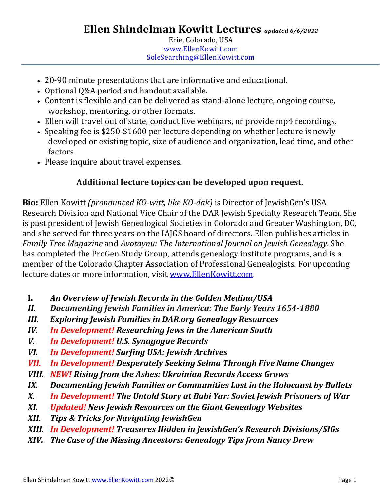- 20-90 minute presentations that are informative and educational.
- Optional Q&A period and handout available.
- Content is flexible and can be delivered as stand-alone lecture, ongoing course, workshop, mentoring, or other formats.
- Ellen will travel out of state, conduct live webinars, or provide mp4 recordings.
- Speaking fee is \$250-\$1600 per lecture depending on whether lecture is newly developed or existing topic, size of audience and organization, lead time, and other factors.
- Please inquire about travel expenses.

# **Additional lecture topics can be developed upon request.**

**Bio:** Ellen Kowitt *(pronounced KO-witt, like KO-dak)* is Director of JewishGen's USA Research Division and National Vice Chair of the DAR Jewish Specialty Research Team. She is past president of Jewish Genealogical Societies in Colorado and Greater Washington, DC, and she served for three years on the IAJGS board of directors. Ellen publishes articles in *Family Tree Magazine* and *Avotaynu: The International Journal on Jewish Genealogy*. She has completed the ProGen Study Group, attends genealogy institute programs, and is a member of the Colorado Chapter Association of Professional Genealogists. For upcoming lecture dates or more information, visit [www.EllenKowitt.com.](http://www.ellenkowitt.com/)

- **I.** *An Overview of Jewish Records in the Golden Medina/USA*
- *II. Documenting Jewish Families in America: The Early Years 1654-1880*
- *III. Exploring Jewish Families in DAR.org Genealogy Resources*
- *IV. In Development! Researching Jews in the American South*
- *V. In Development! U.S. Synagogue Records*
- *VI. In Development! Surfing USA: Jewish Archives*
- *VII. In Development! Desperately Seeking Selma Through Five Name Changes*
- *VIII. NEW! Rising from the Ashes: Ukrainian Records Access Grows*
- *IX. Documenting Jewish Families or Communities Lost in the Holocaust by Bullets*
- *X. In Development! The Untold Story at Babi Yar: Soviet Jewish Prisoners of War*
- *XI. Updated! New Jewish Resources on the Giant Genealogy Websites*
- *XII. Tips & Tricks for Navigating JewishGen*
- *XIII. In Development! Treasures Hidden in JewishGen's Research Divisions/SIGs*
- *XIV. The Case of the Missing Ancestors: Genealogy Tips from Nancy Drew*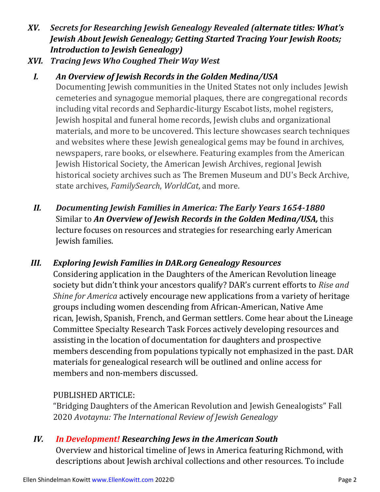- *XV. Secrets for Researching Jewish Genealogy Revealed (alternate titles: What's Jewish About Jewish Genealogy; Getting Started Tracing Your Jewish Roots; Introduction to Jewish Genealogy)*
- *XVI. Tracing Jews Who Coughed Their Way West*
- *I. An Overview of Jewish Records in the Golden Medina/USA*

Documenting Jewish communities in the United States not only includes Jewish cemeteries and synagogue memorial plaques, there are congregational records including vital records and Sephardic-liturgy Escabot lists, mohel registers, Jewish hospital and funeral home records, Jewish clubs and organizational materials, and more to be uncovered. This lecture showcases search techniques and websites where these Jewish genealogical gems may be found in archives, newspapers, rare books, or elsewhere. Featuring examples from the American Jewish Historical Society, the American Jewish Archives, regional Jewish historical society archives such as The Bremen Museum and DU's Beck Archive, state archives, *FamilySearch*, *WorldCat*, and more.

- *II. Documenting Jewish Families in America: The Early Years 1654-1880* Similar to *An Overview of Jewish Records in the Golden Medina/USA,* this lecture focuses on resources and strategies for researching early American Jewish families.
- *III. Exploring Jewish Families in DAR.org Genealogy Resources* Considering application in the Daughters of the American Revolution lineage society but didn't think your ancestors qualify? DAR's current efforts to *Rise and Shine for America* actively encourage new applications from a variety of heritage groups including women descending from African-American, Native Ame rican, Jewish, Spanish, French, and German settlers. Come hear about the Lineage Committee Specialty Research Task Forces actively developing resources and assisting in the location of documentation for daughters and prospective members descending from populations typically not emphasized in the past. DAR materials for genealogical research will be outlined and online access for members and non-members discussed.

### PUBLISHED ARTICLE:

"Bridging Daughters of the American Revolution and Jewish Genealogists" Fall 2020 *Avotaynu: The International Review of Jewish Genealogy*

#### *IV. In Development! Researching Jews in the American South*

Overview and historical timeline of Jews in America featuring Richmond, with descriptions about Jewish archival collections and other resources. To include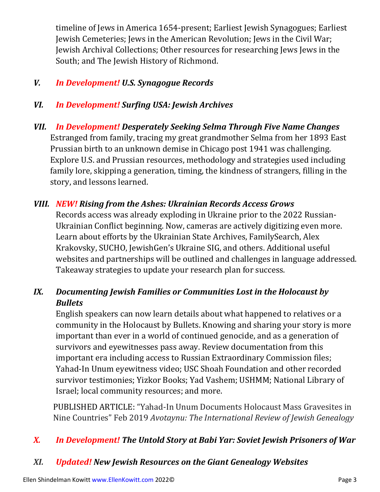timeline of Jews in America 1654-present; Earliest Jewish Synagogues; Earliest Jewish Cemeteries; Jews in the American Revolution; Jews in the Civil War; Jewish Archival Collections; Other resources for researching Jews Jews in the South; and The Jewish History of Richmond.

### *V. In Development! U.S. Synagogue Records*

### *VI. In Development! Surfing USA: Jewish Archives*

*VII. In Development! Desperately Seeking Selma Through Five Name Changes* Estranged from family, tracing my great grandmother Selma from her 1893 East Prussian birth to an unknown demise in Chicago post 1941 was challenging. Explore U.S. and Prussian resources, methodology and strategies used including family lore, skipping a generation, timing, the kindness of strangers, filling in the story, and lessons learned.

#### *VIII. NEW! Rising from the Ashes: Ukrainian Records Access Grows*

Records access was already exploding in Ukraine prior to the 2022 Russian-Ukrainian Conflict beginning. Now, cameras are actively digitizing even more. Learn about efforts by the Ukrainian State Archives, FamilySearch, Alex Krakovsky, SUCHO, JewishGen's Ukraine SIG, and others. Additional useful websites and partnerships will be outlined and challenges in language addressed. Takeaway strategies to update your research plan for success.

# *IX. Documenting Jewish Families or Communities Lost in the Holocaust by Bullets*

English speakers can now learn details about what happened to relatives or a community in the Holocaust by Bullets. Knowing and sharing your story is more important than ever in a world of continued genocide, and as a generation of survivors and eyewitnesses pass away. Review documentation from this important era including access to Russian Extraordinary Commission files; Yahad-In Unum eyewitness video; USC Shoah Foundation and other recorded survivor testimonies; Yizkor Books; Yad Vashem; USHMM; National Library of Israel; local community resources; and more.

PUBLISHED ARTICLE: "Yahad-In Unum Documents Holocaust Mass Gravesites in Nine Countries" Feb 2019 *Avotaynu: The International Review of Jewish Genealogy*

### *X. In Development! The Untold Story at Babi Yar: Soviet Jewish Prisoners of War*

### *XI. Updated! New Jewish Resources on the Giant Genealogy Websites*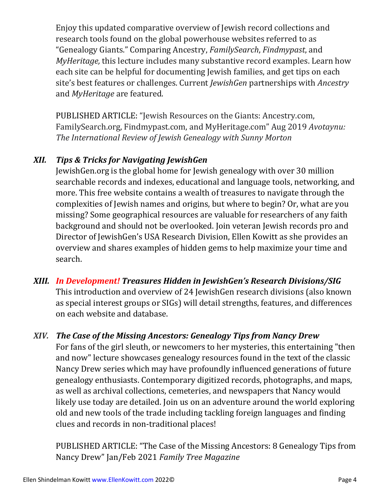Enjoy this updated comparative overview of Jewish record collections and research tools found on the global powerhouse websites referred to as "Genealogy Giants." Comparing Ancestry, *FamilySearch*, *Findmypast*, and *MyHeritage,* this lecture includes many substantive record examples. Learn how each site can be helpful for documenting Jewish families, and get tips on each site's best features or challenges. Current *JewishGen* partnerships with *Ancestry* and *MyHeritage* are featured.

PUBLISHED ARTICLE: "Jewish Resources on the Giants: Ancestry.com, FamilySearch.org, Findmypast.com, and MyHeritage.com" Aug 2019 *Avotaynu: The International Review of Jewish Genealogy with Sunny Morton*

# *XII. Tips & Tricks for Navigating JewishGen*

JewishGen.org is the global home for Jewish genealogy with over 30 million searchable records and indexes, educational and language tools, networking, and more. This free website contains a wealth of treasures to navigate through the complexities of Jewish names and origins, but where to begin? Or, what are you missing? Some geographical resources are valuable for researchers of any faith background and should not be overlooked. Join veteran Jewish records pro and Director of JewishGen's USA Research Division, Ellen Kowitt as she provides an overview and shares examples of hidden gems to help maximize your time and search.

- *XIII. In Development! Treasures Hidden in JewishGen's Research Divisions/SIG* This introduction and overview of 24 JewishGen research divisions (also known as special interest groups or SIGs) will detail strengths, features, and differences on each website and database.
- *XIV. The Case of the Missing Ancestors: Genealogy Tips from Nancy Drew* For fans of the girl sleuth, or newcomers to her mysteries, this entertaining "then and now" lecture showcases genealogy resources found in the text of the classic Nancy Drew series which may have profoundly influenced generations of future genealogy enthusiasts. Contemporary digitized records, photographs, and maps, as well as archival collections, cemeteries, and newspapers that Nancy would likely use today are detailed. Join us on an adventure around the world exploring old and new tools of the trade including tackling foreign languages and finding clues and records in non-traditional places!

PUBLISHED ARTICLE: "The Case of the Missing [Ancestors:](https://www.familytreemagazine.com/premium/nancy-drew-genealogy-detective/) 8 Genealogy Tips from Nancy [Drew"](https://www.familytreemagazine.com/premium/nancy-drew-genealogy-detective/) Jan/Feb 2021 *Family Tree Magazine*